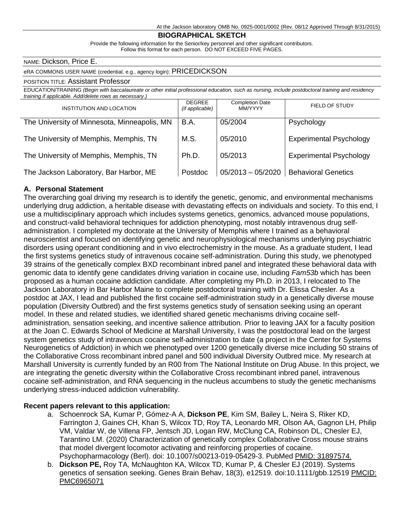At the Jackson laboratory OMB No. 0925-0001/0002 (Rev. 08/12 Approved Through 8/31/2015)

#### **BIOGRAPHICAL SKETCH**

Provide the following information for the Senior/key personnel and other significant contributors. Follow this format for each person. DO NOT EXCEED FIVE PAGES.

#### NAME: Dickson, Price E.

#### eRA COMMONS USER NAME (credential, e.g., agency login): PRICEDICKSON

#### POSITION TITLE: Assistant Professor

EDUCATION/TRAINING *(Begin with baccalaureate or other initial professional education, such as nursing, include postdoctoral training and residency training if applicable. Add/delete rows as necessary.)*

| <b>INSTITUTION AND LOCATION</b>              | <b>DEGREE</b><br>(if applicable) | <b>Completion Date</b><br><b>MM/YYYY</b> | FIELD OF STUDY                 |
|----------------------------------------------|----------------------------------|------------------------------------------|--------------------------------|
| The University of Minnesota, Minneapolis, MN | <b>B.A.</b>                      | 05/2004                                  | Psychology                     |
| The University of Memphis, Memphis, TN       | M.S.                             | 05/2010                                  | <b>Experimental Psychology</b> |
| The University of Memphis, Memphis, TN       | Ph.D.                            | 05/2013                                  | <b>Experimental Psychology</b> |
| The Jackson Laboratory, Bar Harbor, ME       | Postdoc                          | $05/2013 - 05/2020$                      | <b>Behavioral Genetics</b>     |

#### **A. Personal Statement**

The overarching goal driving my research is to identify the genetic, genomic, and environmental mechanisms underlying drug addiction, a heritable disease with devastating effects on individuals and society. To this end, I use a multidisciplinary approach which includes systems genetics, genomics, advanced mouse populations, and construct-valid behavioral techniques for addiction phenotyping, most notably intravenous drug selfadministration. I completed my doctorate at the University of Memphis where I trained as a behavioral neuroscientist and focused on identifying genetic and neurophysiological mechanisms underlying psychiatric disorders using operant conditioning and in vivo electrochemistry in the mouse. As a graduate student, I lead the first systems genetics study of intravenous cocaine self-administration. During this study, we phenotyped 39 strains of the genetically complex BXD recombinant inbred panel and integrated these behavioral data with genomic data to identify gene candidates driving variation in cocaine use, including *Fam53b* which has been proposed as a human cocaine addiction candidate. After completing my Ph.D. in 2013, I relocated to The Jackson Laboratory in Bar Harbor Maine to complete postdoctoral training with Dr. Elissa Chesler. As a postdoc at JAX, I lead and published the first cocaine self-administration study in a genetically diverse mouse population (Diversity Outbred) and the first systems genetics study of sensation seeking using an operant model. In these and related studies, we identified shared genetic mechanisms driving cocaine selfadministration, sensation seeking, and incentive salience attribution. Prior to leaving JAX for a faculty position at the Joan C. Edwards School of Medicine at Marshall University, I was the postdoctoral lead on the largest system genetics study of intravenous cocaine self-administration to date (a project in the Center for Systems Neurogenetics of Addiction) in which we phenotyped over 1200 genetically diverse mice including 50 strains of the Collaborative Cross recombinant inbred panel and 500 individual Diversity Outbred mice. My research at Marshall University is currently funded by an R00 from The National Institute on Drug Abuse. In this project, we are integrating the genetic diversity within the Collaborative Cross recombinant inbred panel, intravenous cocaine self-administration, and RNA sequencing in the nucleus accumbens to study the genetic mechanisms underlying stress-induced addiction vulnerability.

#### **Recent papers relevant to this application:**

- a. Schoenrock SA, Kumar P, Gómez-A A, **Dickson PE**, Kim SM, Bailey L, Neira S, Riker KD, Farrington J, Gaines CH, Khan S, Wilcox TD, Roy TA, Leonardo MR, Olson AA, Gagnon LH, Philip VM, Valdar W, de Villena FP, Jentsch JD, Logan RW, McClung CA, Robinson DL, Chesler EJ, Tarantino LM. (2020) [Characterization of genetically complex Collaborative Cross mouse strains](https://www.ncbi.nlm.nih.gov/pubmed/31897574/)  [that model divergent locomotor activating and reinforcing properties of cocaine.](https://www.ncbi.nlm.nih.gov/pubmed/31897574/)  Psychopharmacology (Berl). doi: 10.1007/s00213-019-05429-3. PubMed PMID: 31897574.
- b. **Dickson PE,** Roy TA, McNaughton KA, Wilcox TD, Kumar P, & Chesler EJ (2019). Systems genetics of sensation seeking. Genes Brain Behav, 18(3), e12519. doi:10.1111/gbb.12519 PMCID: PMC6965071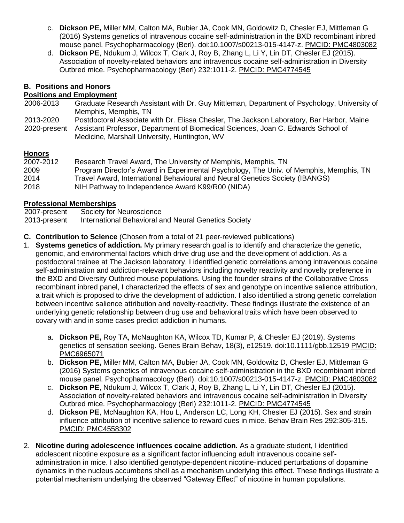- c. **Dickson PE,** Miller MM, Calton MA, Bubier JA, Cook MN, Goldowitz D, Chesler EJ, Mittleman G (2016) Systems genetics of intravenous cocaine self-administration in the BXD recombinant inbred mouse panel. Psychopharmacology (Berl). doi:10.1007/s00213-015-4147-z. PMCID: PMC4803082
- d. **Dickson PE**, Ndukum J, Wilcox T, Clark J, Roy B, Zhang L, Li Y, Lin DT, Chesler EJ (2015). Association of novelty-related behaviors and intravenous cocaine self-administration in Diversity Outbred mice. Psychopharmacology (Berl) 232:1011-2. PMCID: PMC4774545

# **B. Positions and Honors**

### **Positions and Employment**

- 2006-2013 Graduate Research Assistant with Dr. Guy Mittleman, Department of Psychology, University of Memphis, Memphis, TN
- 2013-2020 Postdoctoral Associate with Dr. Elissa Chesler, The Jackson Laboratory, Bar Harbor, Maine
- 2020-present Assistant Professor, Department of Biomedical Sciences, Joan C. Edwards School of Medicine, Marshall University, Huntington, WV

# **Honors**

| 2007-2012 | Research Travel Award, The University of Memphis, Memphis, TN                          |
|-----------|----------------------------------------------------------------------------------------|
| 2009      | Program Director's Award in Experimental Psychology, The Univ. of Memphis, Memphis, TN |
| 2014      | Travel Award, International Behavioural and Neural Genetics Society (IBANGS)           |
| 2018      | NIH Pathway to Independence Award K99/R00 (NIDA)                                       |

# **Professional Memberships**

| 2007-present | Society for Neuroscience                             |
|--------------|------------------------------------------------------|
| 2013-present | International Behavioral and Neural Genetics Society |

- **C. Contribution to Science** (Chosen from a total of 21 peer-reviewed publications)
- 1. **Systems genetics of addiction.** My primary research goal is to identify and characterize the genetic, genomic, and environmental factors which drive drug use and the development of addiction. As a postdoctoral trainee at The Jackson laboratory, I identified genetic correlations among intravenous cocaine self-administration and addiction-relevant behaviors including novelty reactivity and novelty preference in the BXD and Diversity Outbred mouse populations. Using the founder strains of the Collaborative Cross recombinant inbred panel, I characterized the effects of sex and genotype on incentive salience attribution, a trait which is proposed to drive the development of addiction. I also identified a strong genetic correlation between incentive salience attribution and novelty-reactivity. These findings illustrate the existence of an underlying genetic relationship between drug use and behavioral traits which have been observed to covary with and in some cases predict addiction in humans.
	- a. **Dickson PE,** Roy TA, McNaughton KA, Wilcox TD, Kumar P, & Chesler EJ (2019). Systems genetics of sensation seeking. Genes Brain Behav, 18(3), e12519. doi:10.1111/gbb.12519 PMCID: PMC6965071
	- b. **Dickson PE,** Miller MM, Calton MA, Bubier JA, Cook MN, Goldowitz D, Chesler EJ, Mittleman G (2016) Systems genetics of intravenous cocaine self-administration in the BXD recombinant inbred mouse panel. Psychopharmacology (Berl). doi:10.1007/s00213-015-4147-z. PMCID: PMC4803082
	- c. **Dickson PE**, Ndukum J, Wilcox T, Clark J, Roy B, Zhang L, Li Y, Lin DT, Chesler EJ (2015). Association of novelty-related behaviors and intravenous cocaine self-administration in Diversity Outbred mice. Psychopharmacology (Berl) 232:1011-2. PMCID: PMC4774545
	- d. **Dickson PE**, McNaughton KA, Hou L, Anderson LC, Long KH, Chesler EJ (2015). Sex and strain influence attribution of incentive salience to reward cues in mice. Behav Brain Res 292:305-315. PMCID: PMC4558302
- 2. **Nicotine during adolescence influences cocaine addiction.** As a graduate student, I identified adolescent nicotine exposure as a significant factor influencing adult intravenous cocaine selfadministration in mice. I also identified genotype-dependent nicotine-induced perturbations of dopamine dynamics in the nucleus accumbens shell as a mechanism underlying this effect. These findings illustrate a potential mechanism underlying the observed "Gateway Effect" of nicotine in human populations.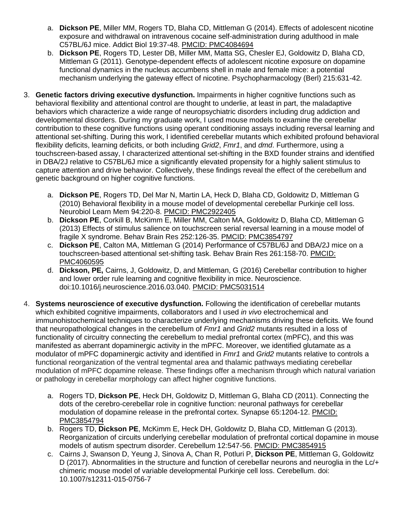- a. **Dickson PE**, Miller MM, Rogers TD, Blaha CD, Mittleman G (2014). Effects of adolescent nicotine exposure and withdrawal on intravenous cocaine self-administration during adulthood in male C57BL/6J mice. Addict Biol 19:37-48. PMCID: PMC4084694
- b. **Dickson PE**, Rogers TD, Lester DB, Miller MM, Matta SG, Chesler EJ, Goldowitz D, Blaha CD, Mittleman G (2011). Genotype-dependent effects of adolescent nicotine exposure on dopamine functional dynamics in the nucleus accumbens shell in male and female mice: a potential mechanism underlying the gateway effect of nicotine. Psychopharmacology (Berl) 215:631-42.
- 3. **Genetic factors driving executive dysfunction.** Impairments in higher cognitive functions such as behavioral flexibility and attentional control are thought to underlie, at least in part, the maladaptive behaviors which characterize a wide range of neuropsychiatric disorders including drug addiction and developmental disorders. During my graduate work, I used mouse models to examine the cerebellar contribution to these cognitive functions using operant conditioning assays including reversal learning and attentional set-shifting. During this work, I identified cerebellar mutants which exhibited profound behavioral flexibility deficits, learning deficits, or both including *Grid2*, *Fmr1*, and *dmd*. Furthermore, using a touchscreen-based assay, I characterized attentional set-shifting in the BXD founder strains and identified in DBA/2J relative to C57BL/6J mice a significantly elevated propensity for a highly salient stimulus to capture attention and drive behavior. Collectively, these findings reveal the effect of the cerebellum and genetic background on higher cognitive functions.
	- a. **Dickson PE**, Rogers TD, Del Mar N, Martin LA, Heck D, Blaha CD, Goldowitz D, Mittleman G (2010) Behavioral flexibility in a mouse model of developmental cerebellar Purkinje cell loss. Neurobiol Learn Mem 94:220-8. PMCID: PMC2922405
	- b. **Dickson PE**, Corkill B, McKimm E, Miller MM, Calton MA, Goldowitz D, Blaha CD, Mittleman G (2013) Effects of stimulus salience on touchscreen serial reversal learning in a mouse model of fragile X syndrome. Behav Brain Res 252:126-35. PMCID: PMC3854797
	- c. **Dickson PE**, Calton MA, Mittleman G (2014) Performance of C57BL/6J and DBA/2J mice on a touchscreen-based attentional set-shifting task. Behav Brain Res 261:158-70. PMCID: PMC4060595
	- d. **Dickson, PE,** Cairns, J, Goldowitz, D, and Mittleman, G (2016) Cerebellar contribution to higher and lower order rule learning and cognitive flexibility in mice. Neuroscience. doi:10.1016/j.neuroscience.2016.03.040. PMCID: PMC5031514
- 4. **Systems neuroscience of executive dysfunction.** Following the identification of cerebellar mutants which exhibited cognitive impairments, collaborators and I used *in vivo* electrochemical and immunohistochemical techniques to characterize underlying mechanisms driving these deficits. We found that neuropathological changes in the cerebellum of *Fmr1* and *Grid2* mutants resulted in a loss of functionality of circuitry connecting the cerebellum to medial prefrontal cortex (mPFC), and this was manifested as aberrant dopaminergic activity in the mPFC. Moreover, we identified glutamate as a modulator of mPFC dopaminergic activity and identified in *Fmr1* and *Grid2* mutants relative to controls a functional reorganization of the ventral tegmental area and thalamic pathways mediating cerebellar modulation of mPFC dopamine release. These findings offer a mechanism through which natural variation or pathology in cerebellar morphology can affect higher cognitive functions.
	- a. Rogers TD, **Dickson PE**, Heck DH, Goldowitz D, Mittleman G, Blaha CD (2011). Connecting the dots of the cerebro-cerebellar role in cognitive function: neuronal pathways for cerebellar modulation of dopamine release in the prefrontal cortex. Synapse 65:1204-12. PMCID: PMC3854794
	- b. Rogers TD, **Dickson PE**, McKimm E, Heck DH, Goldowitz D, Blaha CD, Mittleman G (2013). Reorganization of circuits underlying cerebellar modulation of prefrontal cortical dopamine in mouse models of autism spectrum disorder. Cerebellum 12:547-56. PMCID: PMC3854915
	- c. Cairns J, Swanson D, Yeung J, Sinova A, Chan R, Potluri P, **Dickson PE**, Mittleman G, Goldowitz D (2017). Abnormalities in the structure and function of cerebellar neurons and neuroglia in the Lc/+ chimeric mouse model of variable developmental Purkinje cell loss. Cerebellum. doi: 10.1007/s12311-015-0756-7